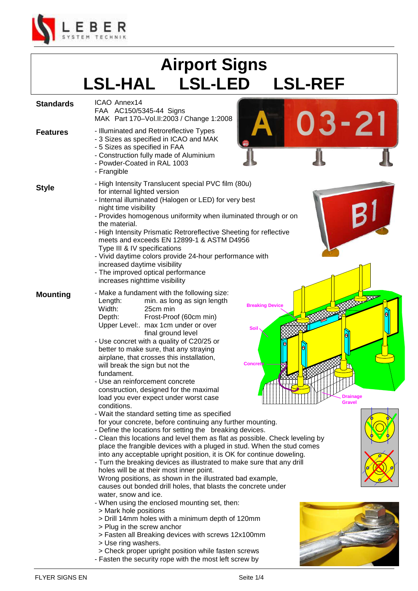

## **Airport Signs LSL-HAL LSL-LED LSL-REF**

| <b>Standards</b> | ICAO Annex14<br>FAA AC150/5345-44 Signs<br>MAK Part 170-Vol.II:2003 / Change 1:2008                                                                                                                                                                                                                                                                                                                                                                                                                                                                                                                                                                                                                                                                                                                                                                                                                                                                                                                                                                                                                                                                                                                                                                                                                                                                                                                                                                                                                                                                                                                                       |
|------------------|---------------------------------------------------------------------------------------------------------------------------------------------------------------------------------------------------------------------------------------------------------------------------------------------------------------------------------------------------------------------------------------------------------------------------------------------------------------------------------------------------------------------------------------------------------------------------------------------------------------------------------------------------------------------------------------------------------------------------------------------------------------------------------------------------------------------------------------------------------------------------------------------------------------------------------------------------------------------------------------------------------------------------------------------------------------------------------------------------------------------------------------------------------------------------------------------------------------------------------------------------------------------------------------------------------------------------------------------------------------------------------------------------------------------------------------------------------------------------------------------------------------------------------------------------------------------------------------------------------------------------|
| <b>Features</b>  | 03-21<br>- Illuminated and Retroreflective Types<br>- 3 Sizes as specified in ICAO and MAK<br>- 5 Sizes as specified in FAA<br>- Construction fully made of Aluminium<br>- Powder-Coated in RAL 1003<br>- Frangible                                                                                                                                                                                                                                                                                                                                                                                                                                                                                                                                                                                                                                                                                                                                                                                                                                                                                                                                                                                                                                                                                                                                                                                                                                                                                                                                                                                                       |
| <b>Style</b>     | - High Intensity Translucent special PVC film (80u)<br>for internal lighted version<br>- Internal illuminated (Halogen or LED) for very best<br>night time visibility<br>- Provides homogenous uniformity when iluminated through or on<br>the material.<br>- High Intensity Prismatic Retroreflective Sheeting for reflective<br>meets and exceeds EN 12899-1 & ASTM D4956<br>Type III & IV specifications<br>- Vivid daytime colors provide 24-hour performance with<br>increased daytime visibility<br>- The improved optical performance<br>increases nighttime visibility                                                                                                                                                                                                                                                                                                                                                                                                                                                                                                                                                                                                                                                                                                                                                                                                                                                                                                                                                                                                                                            |
| <b>Mounting</b>  | - Make a fundament with the following size:<br>Length:<br>min. as long as sign length<br><b>Breaking Device</b><br>Width:<br>25cm min<br>Frost-Proof (60cm min)<br>Depth:<br>Upper Level:. max 1cm under or over<br><b>Soil</b><br>final ground level<br>- Use concret with a quality of C20/25 or<br>better to make sure, that any straying<br>airplane, that crosses this installation,<br><b>Concrete</b><br>will break the sign but not the<br>fundament.<br>- Use an reinforcement concrete<br>construction, designed for the maximal<br>load you ever expect under worst case<br>Drainage<br><b>Gravel</b><br>conditions.<br>- Wait the standard setting time as specified<br>for your concrete, before continuing any further mounting.<br>- Define the locations for setting the breaking devices.<br>- Clean this locations and level them as flat as possible. Check leveling by<br>place the frangible devices with a pluged in stud. When the stud comes<br>into any acceptable upright position, it is OK for continue doweling.<br>- Turn the breaking devices as illustrated to make sure that any drill<br>holes will be at their most inner point.<br>Wrong positions, as shown in the illustrated bad example,<br>causes out bonded drill holes, that blasts the concrete under<br>water, snow and ice.<br>- When using the enclosed mounting set, then:<br>> Mark hole positions<br>> Drill 14mm holes with a minimum depth of 120mm<br>> Plug in the screw anchor<br>> Fasten all Breaking devices with screws 12x100mm<br>> Use ring washers.<br>> Check proper upright position while fasten screws |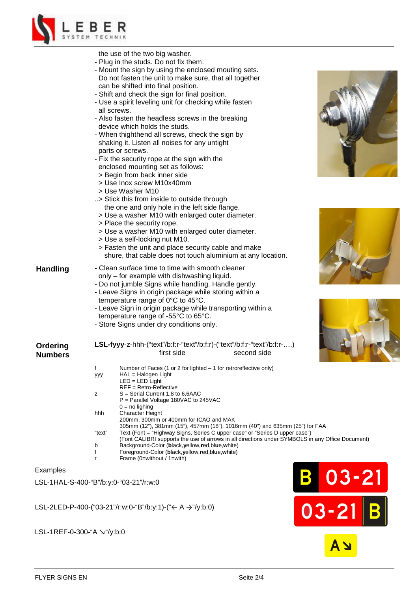

|                 | the use of the two big washer.                                                                                                                                       |  |  |  |  |  |  |  |
|-----------------|----------------------------------------------------------------------------------------------------------------------------------------------------------------------|--|--|--|--|--|--|--|
|                 | - Plug in the studs. Do not fix them.                                                                                                                                |  |  |  |  |  |  |  |
|                 | - Mount the sign by using the enclosed mouting sets.                                                                                                                 |  |  |  |  |  |  |  |
|                 | Do not fasten the unit to make sure, that all together                                                                                                               |  |  |  |  |  |  |  |
|                 | can be shifted into final position.                                                                                                                                  |  |  |  |  |  |  |  |
|                 | - Shift and check the sign for final position.                                                                                                                       |  |  |  |  |  |  |  |
|                 | - Use a spirit leveling unit for checking while fasten                                                                                                               |  |  |  |  |  |  |  |
|                 | all screws.                                                                                                                                                          |  |  |  |  |  |  |  |
|                 | - Also fasten the headless screws in the breaking                                                                                                                    |  |  |  |  |  |  |  |
|                 | device which holds the studs.                                                                                                                                        |  |  |  |  |  |  |  |
|                 | - When thighthend all screws, check the sign by                                                                                                                      |  |  |  |  |  |  |  |
|                 | shaking it. Listen all noises for any untight                                                                                                                        |  |  |  |  |  |  |  |
|                 | parts or screws.                                                                                                                                                     |  |  |  |  |  |  |  |
|                 | - Fix the security rope at the sign with the                                                                                                                         |  |  |  |  |  |  |  |
|                 | enclosed mounting set as follows:                                                                                                                                    |  |  |  |  |  |  |  |
|                 | > Begin from back inner side                                                                                                                                         |  |  |  |  |  |  |  |
|                 | > Use Inox screw M10x40mm                                                                                                                                            |  |  |  |  |  |  |  |
|                 | > Use Washer M10                                                                                                                                                     |  |  |  |  |  |  |  |
|                 | > Stick this from inside to outside through                                                                                                                          |  |  |  |  |  |  |  |
|                 | the one and only hole in the left side flange.                                                                                                                       |  |  |  |  |  |  |  |
|                 | > Use a washer M10 with enlarged outer diameter.                                                                                                                     |  |  |  |  |  |  |  |
|                 | > Place the security rope.                                                                                                                                           |  |  |  |  |  |  |  |
|                 | > Use a washer M10 with enlarged outer diameter.                                                                                                                     |  |  |  |  |  |  |  |
|                 | > Use a self-locking nut M10.                                                                                                                                        |  |  |  |  |  |  |  |
|                 | > Fasten the unit and place security cable and make                                                                                                                  |  |  |  |  |  |  |  |
|                 | shure, that cable does not touch aluminium at any location.                                                                                                          |  |  |  |  |  |  |  |
|                 |                                                                                                                                                                      |  |  |  |  |  |  |  |
| <b>Handling</b> | - Clean surface time to time with smooth cleaner                                                                                                                     |  |  |  |  |  |  |  |
|                 | only - for example with dishwashing liquid.                                                                                                                          |  |  |  |  |  |  |  |
|                 | - Do not jumble Signs while handling. Handle gently.                                                                                                                 |  |  |  |  |  |  |  |
|                 | - Leave Signs in origin package while storing within a                                                                                                               |  |  |  |  |  |  |  |
|                 | temperature range of 0°C to 45°C.                                                                                                                                    |  |  |  |  |  |  |  |
|                 | - Leave Sign in origin package while transporting within a                                                                                                           |  |  |  |  |  |  |  |
|                 | temperature range of -55°C to 65°C.                                                                                                                                  |  |  |  |  |  |  |  |
|                 | - Store Signs under dry conditions only.                                                                                                                             |  |  |  |  |  |  |  |
|                 |                                                                                                                                                                      |  |  |  |  |  |  |  |
| Ordering        | LSL-fyyy-z-hhh-("text"/b:f:r-"text"/b:f:r)-("text"/b:f:r-"text"/b:f:r-)                                                                                              |  |  |  |  |  |  |  |
|                 | first side<br>second side                                                                                                                                            |  |  |  |  |  |  |  |
| Numbers         |                                                                                                                                                                      |  |  |  |  |  |  |  |
|                 | f<br>Number of Faces (1 or 2 for lighted $-$ 1 for retroreflective only)                                                                                             |  |  |  |  |  |  |  |
|                 | $HAL = Halogen Light$<br>ууу                                                                                                                                         |  |  |  |  |  |  |  |
|                 | $LED = LED$ Light                                                                                                                                                    |  |  |  |  |  |  |  |
|                 | REF = Retro-Reflective<br>$S =$ Serial Current 1,8 to 6,6AAC                                                                                                         |  |  |  |  |  |  |  |
|                 | z<br>P = Parallel Voltage 180VAC to 245VAC                                                                                                                           |  |  |  |  |  |  |  |
|                 | $0 = no$ lighing                                                                                                                                                     |  |  |  |  |  |  |  |
|                 | hhh<br>Character Height                                                                                                                                              |  |  |  |  |  |  |  |
|                 | 200mm, 300mm or 400mm for ICAO and MAK                                                                                                                               |  |  |  |  |  |  |  |
|                 | 305mm (12"), 381mm (15"), 457mm (18"), 1016mm (40") and 635mm (25") for FAA<br>Text (Font = "Highway Signs, Series C upper case" or "Series D upper case")<br>"text" |  |  |  |  |  |  |  |
|                 | (Font CALIBRI supports the use of arrows in all directions under SYMBOLS in any Office                                                                               |  |  |  |  |  |  |  |
|                 | b<br>Background-Color (black, yellow, red, blue, white)                                                                                                              |  |  |  |  |  |  |  |
|                 | Foreground-Color (black, yellow, red, blue, white)<br>f                                                                                                              |  |  |  |  |  |  |  |
|                 | Frame (0=without / 1=with)<br>r                                                                                                                                      |  |  |  |  |  |  |  |
|                 |                                                                                                                                                                      |  |  |  |  |  |  |  |

## Examples

LSL-1HAL-S-400-"B"/b:y:0-"03-21"/r:w:0

LSL-2LED-P-400-("03-21"/r:w:0-"B"/b:y:1)-("← A →"/y:b:0)



LSL-1REF-0-300-"A ↘"/y:b:0







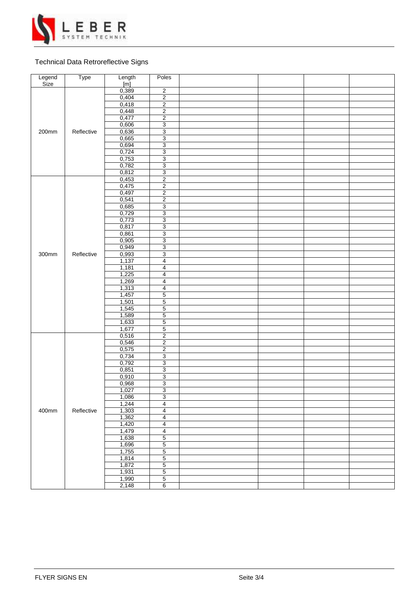

## Technical Data Retroreflective Signs

| Legend<br>Size | Type       | Length | Poles                     |  |  |
|----------------|------------|--------|---------------------------|--|--|
|                |            | [m]    |                           |  |  |
|                |            | 0,389  | $\overline{2}$            |  |  |
|                |            | 0,404  | $\overline{2}$            |  |  |
|                |            | 0,418  | $\overline{2}$            |  |  |
|                |            | 0,448  | $\overline{2}$            |  |  |
|                |            | 0,477  | $\overline{2}$            |  |  |
|                |            | 0,606  | $\overline{3}$            |  |  |
| 200mm          | Reflective | 0,636  | $\overline{3}$            |  |  |
|                |            | 0,665  | $\ensuremath{\mathsf{3}}$ |  |  |
|                |            | 0,694  | $\overline{3}$            |  |  |
|                |            | 0,724  | $\overline{3}$            |  |  |
|                |            | 0,753  | 3                         |  |  |
|                |            | 0,782  | 3                         |  |  |
|                |            |        |                           |  |  |
|                |            | 0,812  | $\overline{3}$            |  |  |
|                |            | 0,453  | $\overline{2}$            |  |  |
|                |            | 0,475  | $\overline{2}$            |  |  |
|                |            | 0,497  | $\boldsymbol{2}$          |  |  |
|                |            | 0,541  | $\overline{2}$            |  |  |
|                |            | 0,685  | $\overline{3}$            |  |  |
|                |            | 0,729  | $\overline{3}$            |  |  |
|                |            | 0,773  | $\overline{3}$            |  |  |
|                |            | 0,817  | 3                         |  |  |
|                |            | 0,861  | $\overline{3}$            |  |  |
|                |            | 0,905  | $\overline{3}$            |  |  |
|                |            | 0,949  | 3                         |  |  |
| 300mm          | Reflective | 0,993  | $\overline{3}$            |  |  |
|                |            | 1,137  | $\overline{4}$            |  |  |
|                |            | 1,181  | $\overline{4}$            |  |  |
|                |            | 1,225  | $\overline{\mathbf{4}}$   |  |  |
|                |            | 1,269  | $\overline{\mathbf{4}}$   |  |  |
|                |            | 1,313  | $\overline{\mathbf{4}}$   |  |  |
|                |            | 1,457  | $\overline{5}$            |  |  |
|                |            | 1,501  | $\mathbf 5$               |  |  |
|                |            | 1,545  | $\overline{5}$            |  |  |
|                |            |        |                           |  |  |
|                |            | 1,589  | $\overline{5}$            |  |  |
|                |            | 1,633  | $\overline{5}$            |  |  |
|                |            | 1,677  | $\overline{5}$            |  |  |
|                |            | 0,516  | $\overline{2}$            |  |  |
|                |            | 0,546  | $\overline{2}$            |  |  |
|                | Reflective | 0,575  | $\overline{2}$            |  |  |
|                |            | 0,734  | $\overline{3}$            |  |  |
|                |            | 0,792  | 3                         |  |  |
|                |            | 0,851  | 3                         |  |  |
|                |            | 0,910  | $\overline{3}$            |  |  |
|                |            | 0,968  | $\overline{3}$            |  |  |
|                |            | 1,027  | 3                         |  |  |
|                |            | 1,086  | $\overline{3}$            |  |  |
| 400mm          |            | 1,244  | $\overline{4}$            |  |  |
|                |            | 1,303  | $\overline{4}$            |  |  |
|                |            | 1,362  | $\overline{4}$            |  |  |
|                |            | 1,420  | $\overline{4}$            |  |  |
|                |            | 1,479  | $\overline{4}$            |  |  |
|                |            | 1,638  | $\overline{5}$            |  |  |
|                |            | 1,696  | $\overline{5}$            |  |  |
|                |            | 1,755  | $\overline{5}$            |  |  |
|                |            |        |                           |  |  |
|                |            | 1,814  | $\,$ 5 $\,$               |  |  |
|                |            | 1,872  | $\overline{5}$            |  |  |
|                |            | 1,931  | $\overline{5}$            |  |  |
|                |            | 1,990  | $\overline{5}$            |  |  |
|                |            | 2,148  | $6\overline{6}$           |  |  |